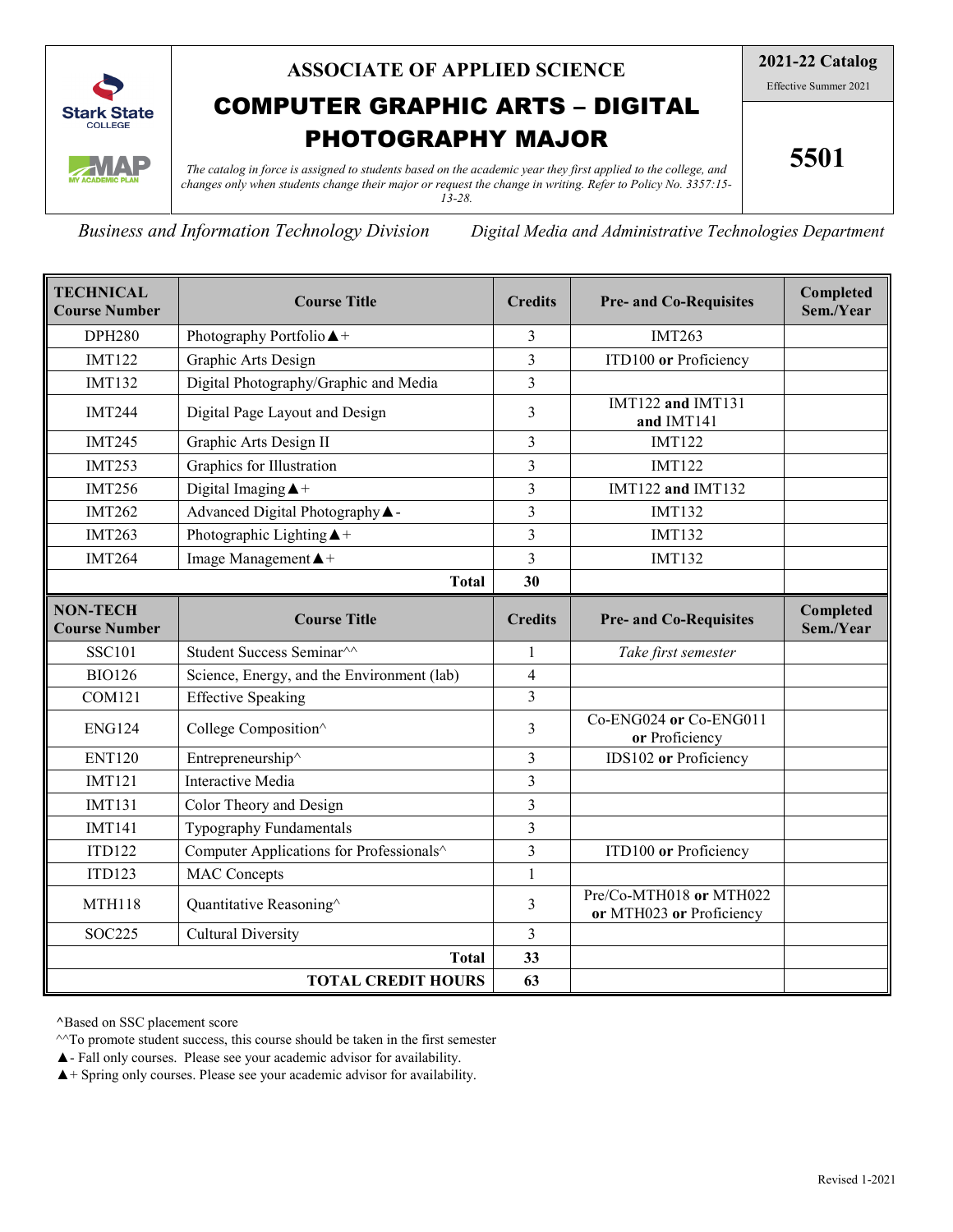

## **ASSOCIATE OF APPLIED SCIENCE**

# COMPUTER GRAPHIC ARTS – DIGITAL PHOTOGRAPHY MAJOR

**2021-22 Catalog**

Effective Summer 2021

**5501**

*The catalog in force is assigned to students based on the academic year they first applied to the college, and changes only when students change their major or request the change in writing. Refer to Policy No. 3357:15- 13-28.*

*Business and Information Technology Division Digital Media and Administrative Technologies Department*

| <b>TECHNICAL</b><br><b>Course Number</b> | <b>Course Title</b>                        | <b>Credits</b> | <b>Pre- and Co-Requisites</b>                       | Completed<br>Sem./Year |
|------------------------------------------|--------------------------------------------|----------------|-----------------------------------------------------|------------------------|
| <b>DPH280</b>                            | Photography Portfolio ▲+                   | 3              | <b>IMT263</b>                                       |                        |
| <b>IMT122</b>                            | Graphic Arts Design                        | $\overline{3}$ | ITD100 or Proficiency                               |                        |
| <b>IMT132</b>                            | Digital Photography/Graphic and Media      | $\overline{3}$ |                                                     |                        |
| <b>IMT244</b>                            | Digital Page Layout and Design             | 3              | IMT122 and IMT131<br>and IMT141                     |                        |
| <b>IMT245</b>                            | Graphic Arts Design II                     | $\overline{3}$ | <b>IMT122</b>                                       |                        |
| <b>IMT253</b>                            | Graphics for Illustration                  | $\overline{3}$ | <b>IMT122</b>                                       |                        |
| <b>IMT256</b>                            | Digital Imaging $\triangle$ +              | 3              | IMT122 and IMT132                                   |                        |
| <b>IMT262</b>                            | Advanced Digital Photography A -           | $\overline{3}$ | <b>IMT132</b>                                       |                        |
| <b>IMT263</b>                            | Photographic Lighting $\blacktriangle$ +   | $\overline{3}$ | <b>IMT132</b>                                       |                        |
| <b>IMT264</b>                            | Image Management $\triangle$ +             | $\overline{3}$ | <b>IMT132</b>                                       |                        |
|                                          | <b>Total</b>                               | 30             |                                                     |                        |
| <b>NON-TECH</b><br><b>Course Number</b>  | <b>Course Title</b>                        | <b>Credits</b> | <b>Pre- and Co-Requisites</b>                       | Completed<br>Sem./Year |
| <b>SSC101</b>                            | Student Success Seminar <sup>^^</sup>      | 1              | Take first semester                                 |                        |
| <b>BIO126</b>                            | Science, Energy, and the Environment (lab) | $\overline{4}$ |                                                     |                        |
| <b>COM121</b>                            | <b>Effective Speaking</b>                  | $\overline{3}$ |                                                     |                        |
| <b>ENG124</b>                            | College Composition^                       | 3              | Co-ENG024 or Co-ENG011<br>or Proficiency            |                        |
| <b>ENT120</b>                            | Entrepreneurship^                          | $\overline{3}$ | IDS102 or Proficiency                               |                        |
| <b>IMT121</b>                            | Interactive Media                          | $\overline{3}$ |                                                     |                        |
| <b>IMT131</b>                            | Color Theory and Design                    | $\overline{3}$ |                                                     |                        |
| <b>IMT141</b>                            | Typography Fundamentals                    | $\overline{3}$ |                                                     |                        |
| <b>ITD122</b>                            | Computer Applications for Professionals^   | $\overline{3}$ | ITD100 or Proficiency                               |                        |
| <b>ITD123</b>                            | <b>MAC</b> Concepts                        | $\mathbf{1}$   |                                                     |                        |
| <b>MTH118</b>                            | Quantitative Reasoning^                    | 3              | Pre/Co-MTH018 or MTH022<br>or MTH023 or Proficiency |                        |
| <b>SOC225</b>                            | <b>Cultural Diversity</b>                  | $\mathfrak{Z}$ |                                                     |                        |
| <b>Total</b>                             |                                            |                |                                                     |                        |
| <b>TOTAL CREDIT HOURS</b>                |                                            |                |                                                     |                        |

**^**Based on SSC placement score

 $\wedge$ <sup> $\wedge$ </sup>To promote student success, this course should be taken in the first semester

▲- Fall only courses. Please see your academic advisor for availability.

 $\blacktriangle$  + Spring only courses. Please see your academic advisor for availability.